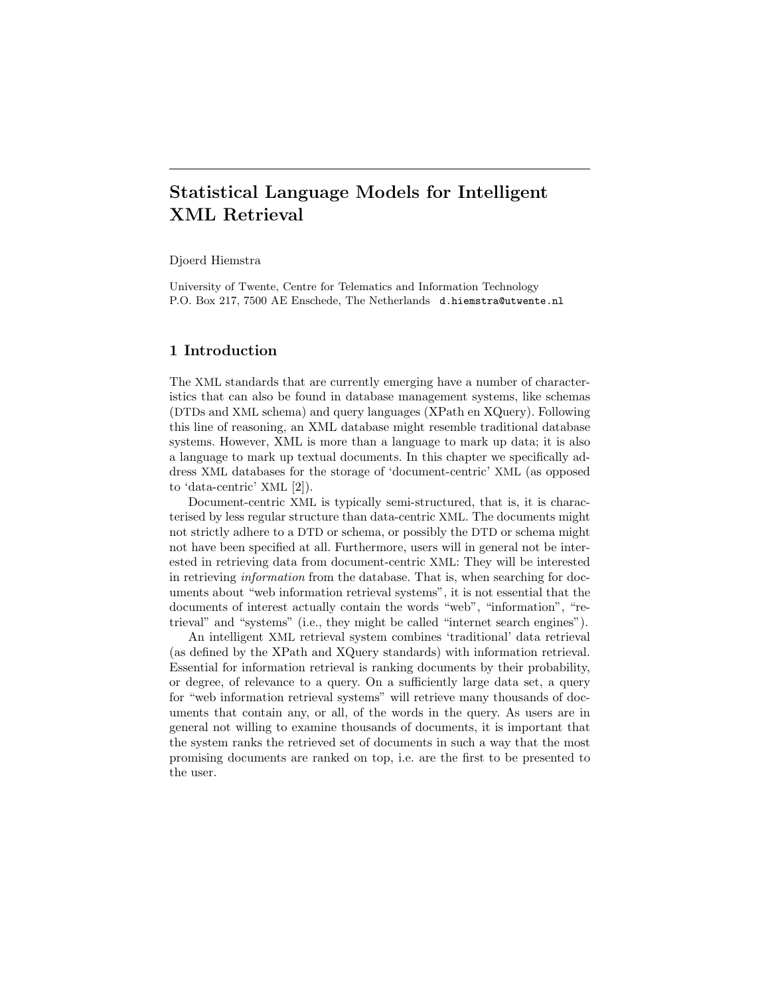# Statistical Language Models for Intelligent XML Retrieval

Djoerd Hiemstra

University of Twente, Centre for Telematics and Information Technology P.O. Box 217, 7500 AE Enschede, The Netherlands d.hiemstra@utwente.nl

# 1 Introduction

The XML standards that are currently emerging have a number of characteristics that can also be found in database management systems, like schemas (DTDs and XML schema) and query languages (XPath en XQuery). Following this line of reasoning, an XML database might resemble traditional database systems. However, XML is more than a language to mark up data; it is also a language to mark up textual documents. In this chapter we specifically address XML databases for the storage of 'document-centric' XML (as opposed to 'data-centric' XML [2]).

Document-centric XML is typically semi-structured, that is, it is characterised by less regular structure than data-centric XML. The documents might not strictly adhere to a DTD or schema, or possibly the DTD or schema might not have been specified at all. Furthermore, users will in general not be interested in retrieving data from document-centric XML: They will be interested in retrieving information from the database. That is, when searching for documents about "web information retrieval systems", it is not essential that the documents of interest actually contain the words "web", "information", "retrieval" and "systems" (i.e., they might be called "internet search engines").

An intelligent XML retrieval system combines 'traditional' data retrieval (as defined by the XPath and XQuery standards) with information retrieval. Essential for information retrieval is ranking documents by their probability, or degree, of relevance to a query. On a sufficiently large data set, a query for "web information retrieval systems" will retrieve many thousands of documents that contain any, or all, of the words in the query. As users are in general not willing to examine thousands of documents, it is important that the system ranks the retrieved set of documents in such a way that the most promising documents are ranked on top, i.e. are the first to be presented to the user.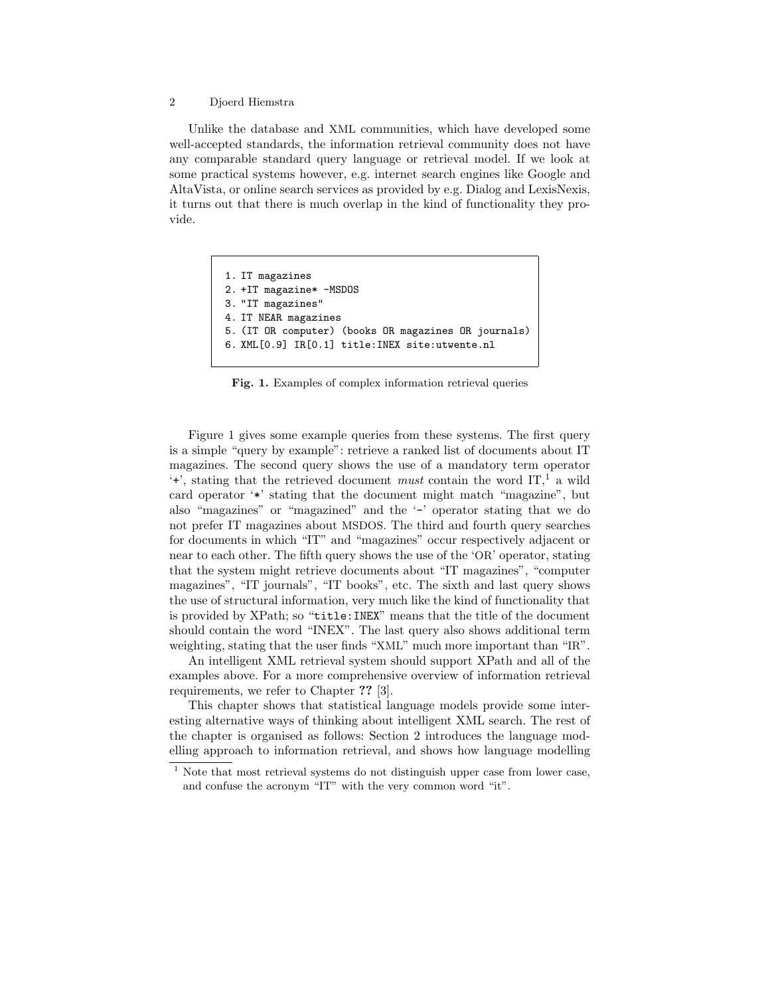Unlike the database and XML communities, which have developed some well-accepted standards, the information retrieval community does not have any comparable standard query language or retrieval model. If we look at some practical systems however, e.g. internet search engines like Google and AltaVista, or online search services as provided by e.g. Dialog and LexisNexis, it turns out that there is much overlap in the kind of functionality they provide.

```
1. IT magazines
2. +IT magazine* -MSDOS
3. "IT magazines"
4. IT NEAR magazines
5. (IT OR computer) (books OR magazines OR journals)
6. XML[0.9] IR[0.1] title:INEX site:utwente.nl
```
Fig. 1. Examples of complex information retrieval queries

Figure 1 gives some example queries from these systems. The first query is a simple "query by example": retrieve a ranked list of documents about IT magazines. The second query shows the use of a mandatory term operator  $'$ +', stating that the retrieved document must contain the word IT,<sup>1</sup> a wild card operator '\*' stating that the document might match "magazine", but also "magazines" or "magazined" and the '-' operator stating that we do not prefer IT magazines about MSDOS. The third and fourth query searches for documents in which "IT" and "magazines" occur respectively adjacent or near to each other. The fifth query shows the use of the 'OR' operator, stating that the system might retrieve documents about "IT magazines", "computer magazines", "IT journals", "IT books", etc. The sixth and last query shows the use of structural information, very much like the kind of functionality that is provided by XPath; so "title:INEX" means that the title of the document should contain the word "INEX". The last query also shows additional term weighting, stating that the user finds "XML" much more important than "IR".

An intelligent XML retrieval system should support XPath and all of the examples above. For a more comprehensive overview of information retrieval requirements, we refer to Chapter ?? [3].

This chapter shows that statistical language models provide some interesting alternative ways of thinking about intelligent XML search. The rest of the chapter is organised as follows: Section 2 introduces the language modelling approach to information retrieval, and shows how language modelling

Note that most retrieval systems do not distinguish upper case from lower case, and confuse the acronym "IT" with the very common word "it".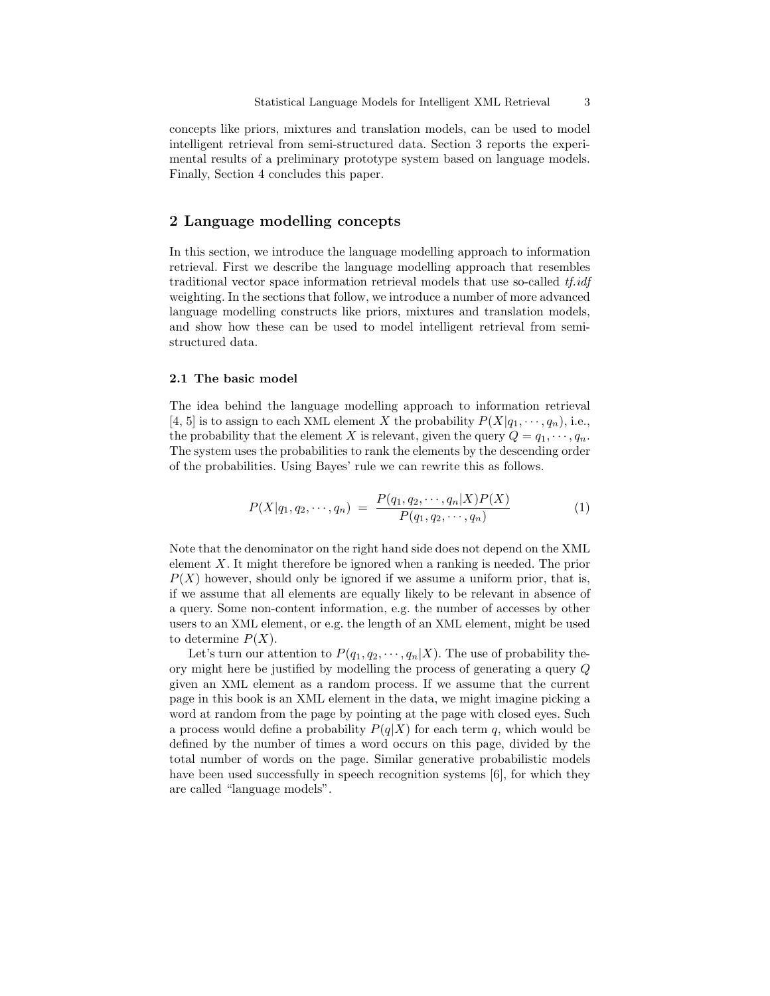concepts like priors, mixtures and translation models, can be used to model intelligent retrieval from semi-structured data. Section 3 reports the experimental results of a preliminary prototype system based on language models. Finally, Section 4 concludes this paper.

# 2 Language modelling concepts

In this section, we introduce the language modelling approach to information retrieval. First we describe the language modelling approach that resembles traditional vector space information retrieval models that use so-called tf.idf weighting. In the sections that follow, we introduce a number of more advanced language modelling constructs like priors, mixtures and translation models, and show how these can be used to model intelligent retrieval from semistructured data.

### 2.1 The basic model

The idea behind the language modelling approach to information retrieval [4, 5] is to assign to each XML element X the probability  $P(X|q_1, \dots, q_n)$ , i.e., the probability that the element X is relevant, given the query  $Q = q_1, \dots, q_n$ . The system uses the probabilities to rank the elements by the descending order of the probabilities. Using Bayes' rule we can rewrite this as follows.

$$
P(X|q_1, q_2, \cdots, q_n) = \frac{P(q_1, q_2, \cdots, q_n | X) P(X)}{P(q_1, q_2, \cdots, q_n)} \tag{1}
$$

Note that the denominator on the right hand side does not depend on the XML element X. It might therefore be ignored when a ranking is needed. The prior  $P(X)$  however, should only be ignored if we assume a uniform prior, that is, if we assume that all elements are equally likely to be relevant in absence of a query. Some non-content information, e.g. the number of accesses by other users to an XML element, or e.g. the length of an XML element, might be used to determine  $P(X)$ .

Let's turn our attention to  $P(q_1, q_2, \dots, q_n | X)$ . The use of probability theory might here be justified by modelling the process of generating a query Q given an XML element as a random process. If we assume that the current page in this book is an XML element in the data, we might imagine picking a word at random from the page by pointing at the page with closed eyes. Such a process would define a probability  $P(q|X)$  for each term q, which would be defined by the number of times a word occurs on this page, divided by the total number of words on the page. Similar generative probabilistic models have been used successfully in speech recognition systems [6], for which they are called "language models".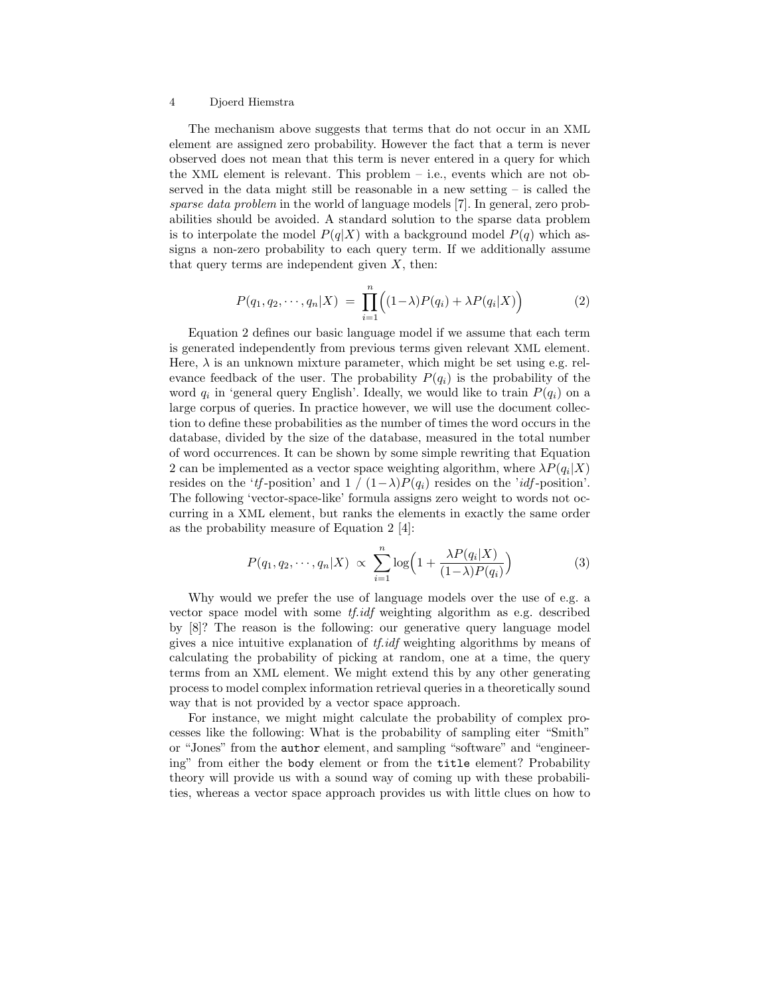The mechanism above suggests that terms that do not occur in an XML element are assigned zero probability. However the fact that a term is never observed does not mean that this term is never entered in a query for which the XML element is relevant. This problem – i.e., events which are not observed in the data might still be reasonable in a new setting – is called the sparse data problem in the world of language models [7]. In general, zero probabilities should be avoided. A standard solution to the sparse data problem is to interpolate the model  $P(q|X)$  with a background model  $P(q)$  which assigns a non-zero probability to each query term. If we additionally assume that query terms are independent given  $X$ , then:

$$
P(q_1, q_2, \cdots, q_n | X) = \prod_{i=1}^n ((1 - \lambda)P(q_i) + \lambda P(q_i | X))
$$
 (2)

Equation 2 defines our basic language model if we assume that each term is generated independently from previous terms given relevant XML element. Here,  $\lambda$  is an unknown mixture parameter, which might be set using e.g. relevance feedback of the user. The probability  $P(q_i)$  is the probability of the word  $q_i$  in 'general query English'. Ideally, we would like to train  $P(q_i)$  on a large corpus of queries. In practice however, we will use the document collection to define these probabilities as the number of times the word occurs in the database, divided by the size of the database, measured in the total number of word occurrences. It can be shown by some simple rewriting that Equation 2 can be implemented as a vector space weighting algorithm, where  $\lambda P(q_i|X)$ resides on the 'tf-position' and  $1 / (1 - \lambda)P(q_i)$  resides on the 'idf-position'. The following 'vector-space-like' formula assigns zero weight to words not occurring in a XML element, but ranks the elements in exactly the same order as the probability measure of Equation 2 [4]:

$$
P(q_1, q_2, \cdots, q_n | X) \propto \sum_{i=1}^n \log \left( 1 + \frac{\lambda P(q_i | X)}{(1 - \lambda) P(q_i)} \right) \tag{3}
$$

Why would we prefer the use of language models over the use of e.g. a vector space model with some  $tf.idf$  weighting algorithm as e.g. described by [8]? The reason is the following: our generative query language model gives a nice intuitive explanation of tf.idf weighting algorithms by means of calculating the probability of picking at random, one at a time, the query terms from an XML element. We might extend this by any other generating process to model complex information retrieval queries in a theoretically sound way that is not provided by a vector space approach.

For instance, we might might calculate the probability of complex processes like the following: What is the probability of sampling eiter "Smith" or "Jones" from the author element, and sampling "software" and "engineering" from either the body element or from the title element? Probability theory will provide us with a sound way of coming up with these probabilities, whereas a vector space approach provides us with little clues on how to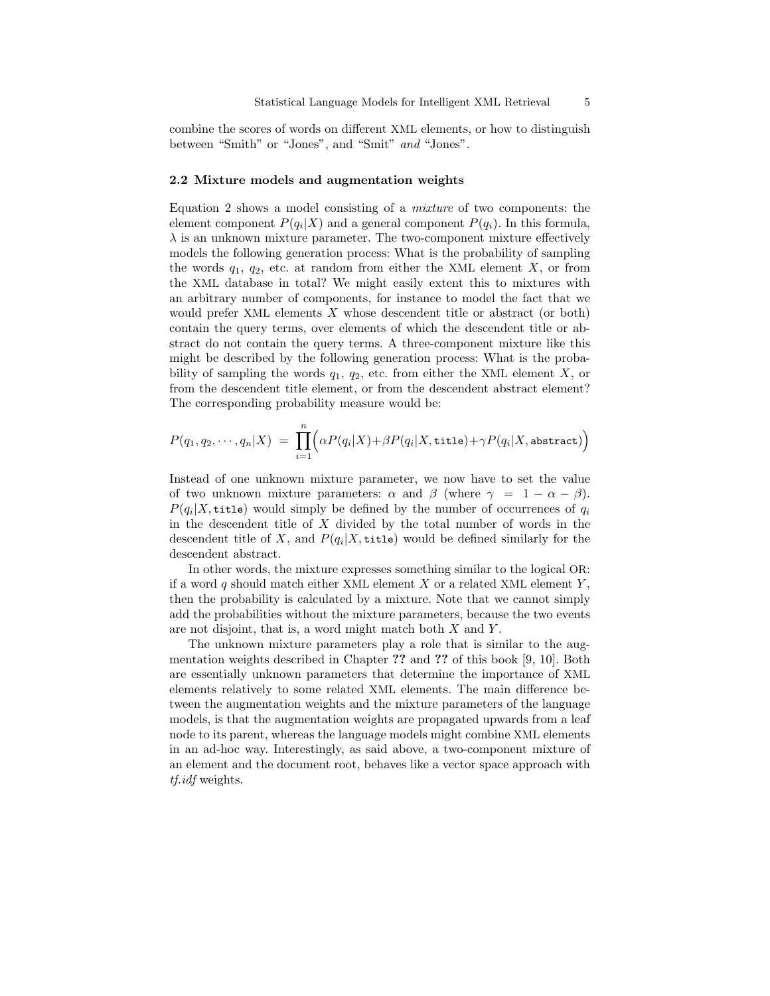combine the scores of words on different XML elements, or how to distinguish between "Smith" or "Jones", and "Smit" and "Jones".

#### 2.2 Mixture models and augmentation weights

Equation 2 shows a model consisting of a mixture of two components: the element component  $P(q_i|X)$  and a general component  $P(q_i)$ . In this formula,  $\lambda$  is an unknown mixture parameter. The two-component mixture effectively models the following generation process: What is the probability of sampling the words  $q_1, q_2$ , etc. at random from either the XML element X, or from the XML database in total? We might easily extent this to mixtures with an arbitrary number of components, for instance to model the fact that we would prefer XML elements  $X$  whose descendent title or abstract (or both) contain the query terms, over elements of which the descendent title or abstract do not contain the query terms. A three-component mixture like this might be described by the following generation process: What is the probability of sampling the words  $q_1, q_2$ , etc. from either the XML element X, or from the descendent title element, or from the descendent abstract element? The corresponding probability measure would be:

$$
P(q_1, q_2, \cdots, q_n | X) = \prod_{i=1}^n \Bigl(\alpha P(q_i | X) + \beta P(q_i | X, \mathtt{title}) + \gamma P(q_i | X, \mathtt{abstract})\Bigr)
$$

Instead of one unknown mixture parameter, we now have to set the value of two unknown mixture parameters:  $\alpha$  and  $\beta$  (where  $\gamma = 1 - \alpha - \beta$ ).  $P(q_i|X, \mathtt{title})$  would simply be defined by the number of occurrences of  $q_i$ in the descendent title of  $X$  divided by the total number of words in the descendent title of X, and  $P(q_i|X, \text{title})$  would be defined similarly for the descendent abstract.

In other words, the mixture expresses something similar to the logical OR: if a word  $q$  should match either XML element X or a related XML element Y, then the probability is calculated by a mixture. Note that we cannot simply add the probabilities without the mixture parameters, because the two events are not disjoint, that is, a word might match both  $X$  and  $Y$ .

The unknown mixture parameters play a role that is similar to the augmentation weights described in Chapter ?? and ?? of this book [9, 10]. Both are essentially unknown parameters that determine the importance of XML elements relatively to some related XML elements. The main difference between the augmentation weights and the mixture parameters of the language models, is that the augmentation weights are propagated upwards from a leaf node to its parent, whereas the language models might combine XML elements in an ad-hoc way. Interestingly, as said above, a two-component mixture of an element and the document root, behaves like a vector space approach with tf.idf weights.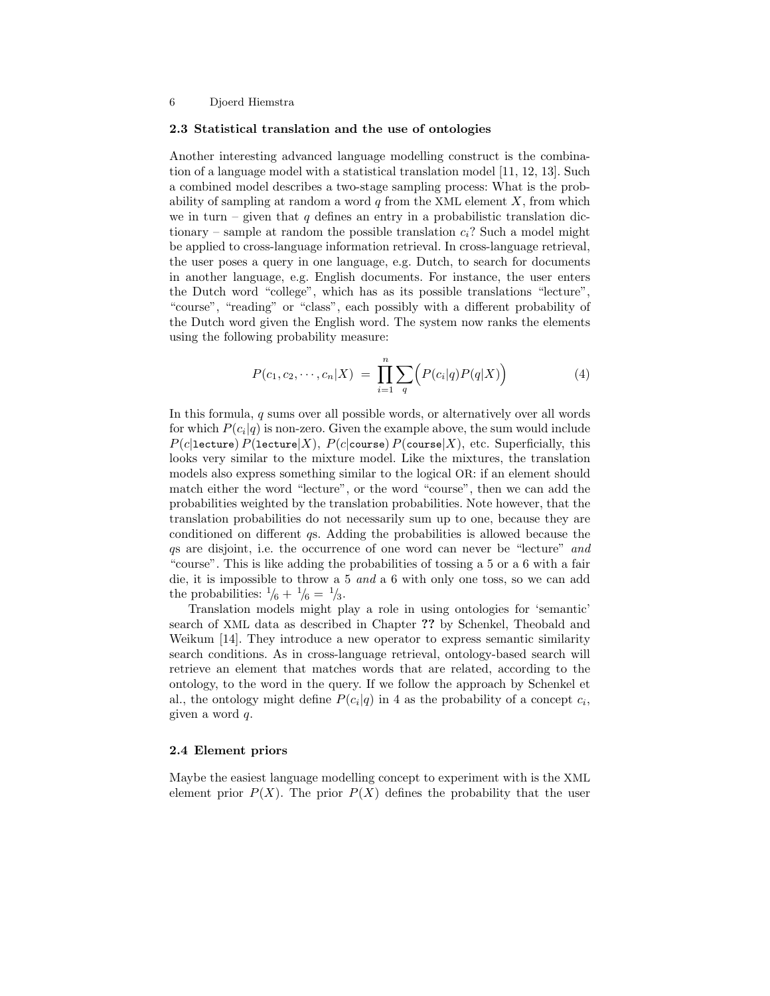### 2.3 Statistical translation and the use of ontologies

Another interesting advanced language modelling construct is the combination of a language model with a statistical translation model [11, 12, 13]. Such a combined model describes a two-stage sampling process: What is the probability of sampling at random a word  $q$  from the XML element  $X$ , from which we in turn – given that  $q$  defines an entry in a probabilistic translation dictionary – sample at random the possible translation  $c_i$ ? Such a model might be applied to cross-language information retrieval. In cross-language retrieval, the user poses a query in one language, e.g. Dutch, to search for documents in another language, e.g. English documents. For instance, the user enters the Dutch word "college", which has as its possible translations "lecture", "course", "reading" or "class", each possibly with a different probability of the Dutch word given the English word. The system now ranks the elements using the following probability measure:

$$
P(c_1, c_2, \cdots, c_n | X) = \prod_{i=1}^n \sum_q \Big( P(c_i | q) P(q | X) \Big) \tag{4}
$$

In this formula,  $q$  sums over all possible words, or alternatively over all words for which  $P(c_i|q)$  is non-zero. Given the example above, the sum would include  $P(c|$ lecture)  $P(\text{lecture}|X)$ ,  $P(c| \text{course}|X)$ , etc. Superficially, this looks very similar to the mixture model. Like the mixtures, the translation models also express something similar to the logical OR: if an element should match either the word "lecture", or the word "course", then we can add the probabilities weighted by the translation probabilities. Note however, that the translation probabilities do not necessarily sum up to one, because they are conditioned on different qs. Adding the probabilities is allowed because the qs are disjoint, i.e. the occurrence of one word can never be "lecture" and "course". This is like adding the probabilities of tossing a 5 or a 6 with a fair die, it is impossible to throw a 5 and a 6 with only one toss, so we can add the probabilities:  $\frac{1}{6} + \frac{1}{6} = \frac{1}{3}$ .

Translation models might play a role in using ontologies for 'semantic' search of XML data as described in Chapter ?? by Schenkel, Theobald and Weikum [14]. They introduce a new operator to express semantic similarity search conditions. As in cross-language retrieval, ontology-based search will retrieve an element that matches words that are related, according to the ontology, to the word in the query. If we follow the approach by Schenkel et al., the ontology might define  $P(c_i|q)$  in 4 as the probability of a concept  $c_i$ , given a word q.

### 2.4 Element priors

Maybe the easiest language modelling concept to experiment with is the XML element prior  $P(X)$ . The prior  $P(X)$  defines the probability that the user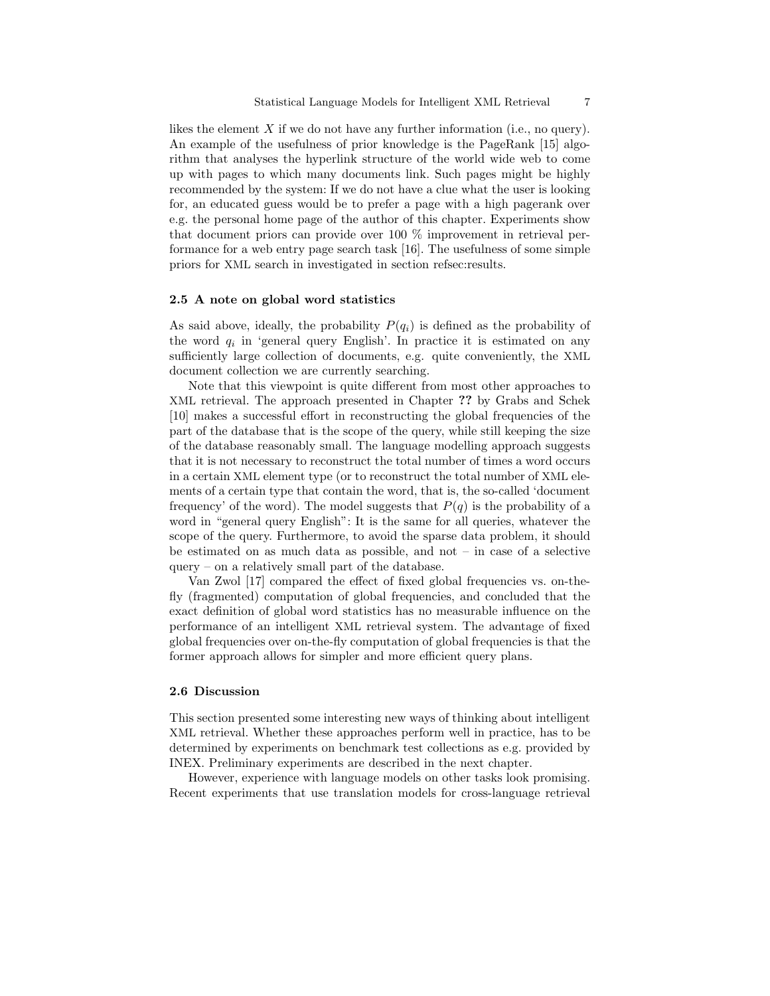likes the element X if we do not have any further information (i.e., no query). An example of the usefulness of prior knowledge is the PageRank [15] algorithm that analyses the hyperlink structure of the world wide web to come up with pages to which many documents link. Such pages might be highly recommended by the system: If we do not have a clue what the user is looking for, an educated guess would be to prefer a page with a high pagerank over e.g. the personal home page of the author of this chapter. Experiments show that document priors can provide over 100 % improvement in retrieval performance for a web entry page search task [16]. The usefulness of some simple priors for XML search in investigated in section refsec:results.

### 2.5 A note on global word statistics

As said above, ideally, the probability  $P(q_i)$  is defined as the probability of the word  $q_i$  in 'general query English'. In practice it is estimated on any sufficiently large collection of documents, e.g. quite conveniently, the XML document collection we are currently searching.

Note that this viewpoint is quite different from most other approaches to XML retrieval. The approach presented in Chapter ?? by Grabs and Schek [10] makes a successful effort in reconstructing the global frequencies of the part of the database that is the scope of the query, while still keeping the size of the database reasonably small. The language modelling approach suggests that it is not necessary to reconstruct the total number of times a word occurs in a certain XML element type (or to reconstruct the total number of XML elements of a certain type that contain the word, that is, the so-called 'document frequency' of the word). The model suggests that  $P(q)$  is the probability of a word in "general query English": It is the same for all queries, whatever the scope of the query. Furthermore, to avoid the sparse data problem, it should be estimated on as much data as possible, and not  $-$  in case of a selective query – on a relatively small part of the database.

Van Zwol [17] compared the effect of fixed global frequencies vs. on-thefly (fragmented) computation of global frequencies, and concluded that the exact definition of global word statistics has no measurable influence on the performance of an intelligent XML retrieval system. The advantage of fixed global frequencies over on-the-fly computation of global frequencies is that the former approach allows for simpler and more efficient query plans.

### 2.6 Discussion

This section presented some interesting new ways of thinking about intelligent XML retrieval. Whether these approaches perform well in practice, has to be determined by experiments on benchmark test collections as e.g. provided by INEX. Preliminary experiments are described in the next chapter.

However, experience with language models on other tasks look promising. Recent experiments that use translation models for cross-language retrieval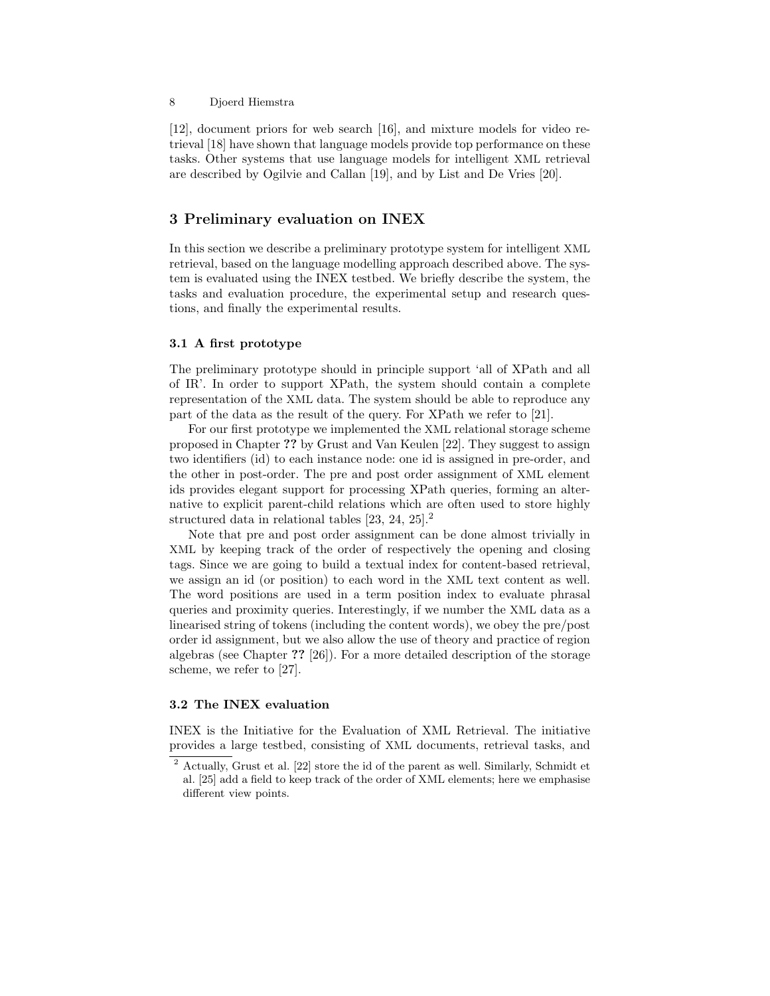[12], document priors for web search [16], and mixture models for video retrieval [18] have shown that language models provide top performance on these tasks. Other systems that use language models for intelligent XML retrieval are described by Ogilvie and Callan [19], and by List and De Vries [20].

### 3 Preliminary evaluation on INEX

In this section we describe a preliminary prototype system for intelligent XML retrieval, based on the language modelling approach described above. The system is evaluated using the INEX testbed. We briefly describe the system, the tasks and evaluation procedure, the experimental setup and research questions, and finally the experimental results.

### 3.1 A first prototype

The preliminary prototype should in principle support 'all of XPath and all of IR'. In order to support XPath, the system should contain a complete representation of the XML data. The system should be able to reproduce any part of the data as the result of the query. For XPath we refer to [21].

For our first prototype we implemented the XML relational storage scheme proposed in Chapter ?? by Grust and Van Keulen [22]. They suggest to assign two identifiers (id) to each instance node: one id is assigned in pre-order, and the other in post-order. The pre and post order assignment of XML element ids provides elegant support for processing XPath queries, forming an alternative to explicit parent-child relations which are often used to store highly structured data in relational tables [23, 24, 25].<sup>2</sup>

Note that pre and post order assignment can be done almost trivially in XML by keeping track of the order of respectively the opening and closing tags. Since we are going to build a textual index for content-based retrieval, we assign an id (or position) to each word in the XML text content as well. The word positions are used in a term position index to evaluate phrasal queries and proximity queries. Interestingly, if we number the XML data as a linearised string of tokens (including the content words), we obey the pre/post order id assignment, but we also allow the use of theory and practice of region algebras (see Chapter ?? [26]). For a more detailed description of the storage scheme, we refer to [27].

### 3.2 The INEX evaluation

INEX is the Initiative for the Evaluation of XML Retrieval. The initiative provides a large testbed, consisting of XML documents, retrieval tasks, and

<sup>2</sup> Actually, Grust et al. [22] store the id of the parent as well. Similarly, Schmidt et al. [25] add a field to keep track of the order of XML elements; here we emphasise different view points.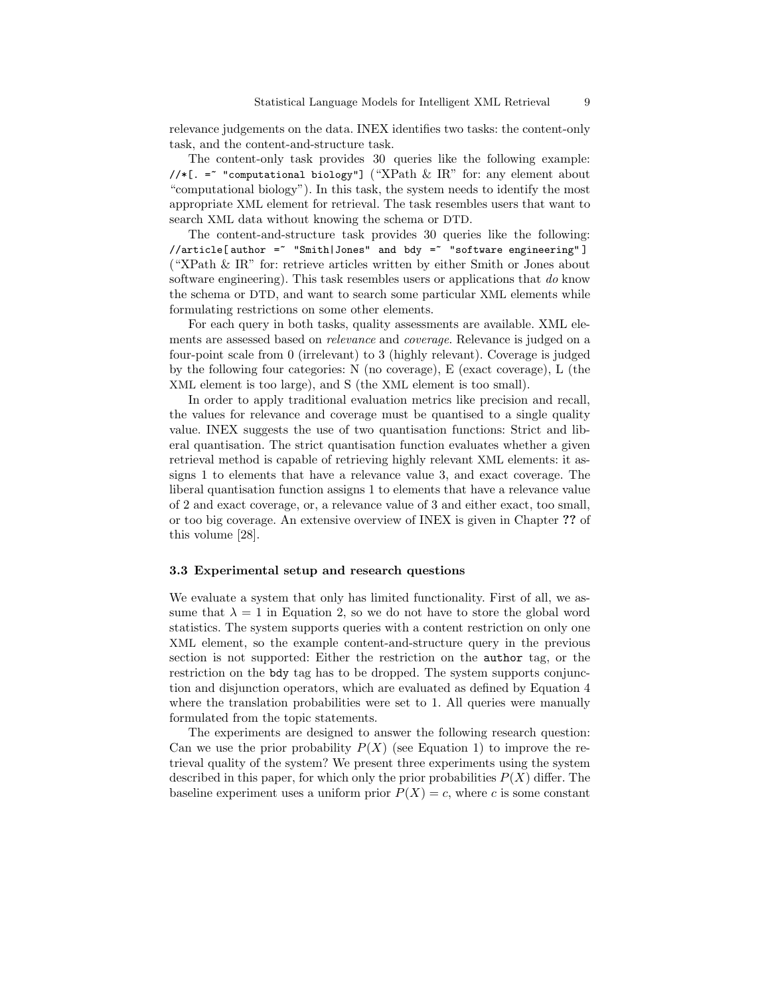relevance judgements on the data. INEX identifies two tasks: the content-only task, and the content-and-structure task.

The content-only task provides 30 queries like the following example: //\*[. = "computational biology"] ("XPath & IR" for: any element about "computational biology"). In this task, the system needs to identify the most appropriate XML element for retrieval. The task resembles users that want to search XML data without knowing the schema or DTD.

The content-and-structure task provides 30 queries like the following: //article[author = "Smith|Jones" and bdy = "software engineering"] ("XPath & IR" for: retrieve articles written by either Smith or Jones about software engineering). This task resembles users or applications that do know the schema or DTD, and want to search some particular XML elements while formulating restrictions on some other elements.

For each query in both tasks, quality assessments are available. XML elements are assessed based on relevance and coverage. Relevance is judged on a four-point scale from 0 (irrelevant) to 3 (highly relevant). Coverage is judged by the following four categories: N (no coverage), E (exact coverage), L (the XML element is too large), and S (the XML element is too small).

In order to apply traditional evaluation metrics like precision and recall, the values for relevance and coverage must be quantised to a single quality value. INEX suggests the use of two quantisation functions: Strict and liberal quantisation. The strict quantisation function evaluates whether a given retrieval method is capable of retrieving highly relevant XML elements: it assigns 1 to elements that have a relevance value 3, and exact coverage. The liberal quantisation function assigns 1 to elements that have a relevance value of 2 and exact coverage, or, a relevance value of 3 and either exact, too small, or too big coverage. An extensive overview of INEX is given in Chapter ?? of this volume [28].

#### 3.3 Experimental setup and research questions

We evaluate a system that only has limited functionality. First of all, we assume that  $\lambda = 1$  in Equation 2, so we do not have to store the global word statistics. The system supports queries with a content restriction on only one XML element, so the example content-and-structure query in the previous section is not supported: Either the restriction on the author tag, or the restriction on the bdy tag has to be dropped. The system supports conjunction and disjunction operators, which are evaluated as defined by Equation 4 where the translation probabilities were set to 1. All queries were manually formulated from the topic statements.

The experiments are designed to answer the following research question: Can we use the prior probability  $P(X)$  (see Equation 1) to improve the retrieval quality of the system? We present three experiments using the system described in this paper, for which only the prior probabilities  $P(X)$  differ. The baseline experiment uses a uniform prior  $P(X) = c$ , where c is some constant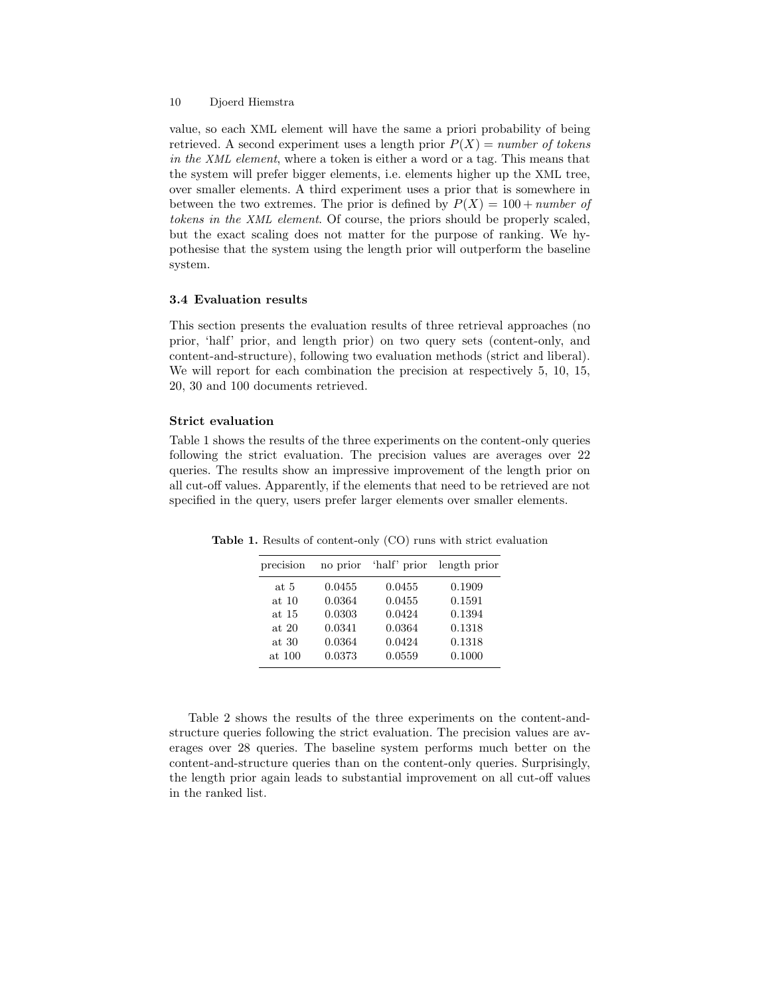value, so each XML element will have the same a priori probability of being retrieved. A second experiment uses a length prior  $P(X) = number of tokens$ in the XML element, where a token is either a word or a tag. This means that the system will prefer bigger elements, i.e. elements higher up the XML tree, over smaller elements. A third experiment uses a prior that is somewhere in between the two extremes. The prior is defined by  $P(X) = 100 + number$  of tokens in the XML element. Of course, the priors should be properly scaled, but the exact scaling does not matter for the purpose of ranking. We hypothesise that the system using the length prior will outperform the baseline system.

### 3.4 Evaluation results

This section presents the evaluation results of three retrieval approaches (no prior, 'half' prior, and length prior) on two query sets (content-only, and content-and-structure), following two evaluation methods (strict and liberal). We will report for each combination the precision at respectively 5, 10, 15, 20, 30 and 100 documents retrieved.

### Strict evaluation

Table 1 shows the results of the three experiments on the content-only queries following the strict evaluation. The precision values are averages over 22 queries. The results show an impressive improvement of the length prior on all cut-off values. Apparently, if the elements that need to be retrieved are not specified in the query, users prefer larger elements over smaller elements.

| precision |        | no prior 'half' prior length prior |        |
|-----------|--------|------------------------------------|--------|
| at 5      | 0.0455 | 0.0455                             | 0.1909 |
| at 10     | 0.0364 | 0.0455                             | 0.1591 |
| at $15$   | 0.0303 | 0.0424                             | 0.1394 |
| at $20$   | 0.0341 | 0.0364                             | 0.1318 |
| at $30$   | 0.0364 | 0.0424                             | 0.1318 |
| at 100    | 0.0373 | 0.0559                             | 0.1000 |
|           |        |                                    |        |

Table 1. Results of content-only (CO) runs with strict evaluation

Table 2 shows the results of the three experiments on the content-andstructure queries following the strict evaluation. The precision values are averages over 28 queries. The baseline system performs much better on the content-and-structure queries than on the content-only queries. Surprisingly, the length prior again leads to substantial improvement on all cut-off values in the ranked list.

<sup>10</sup> Djoerd Hiemstra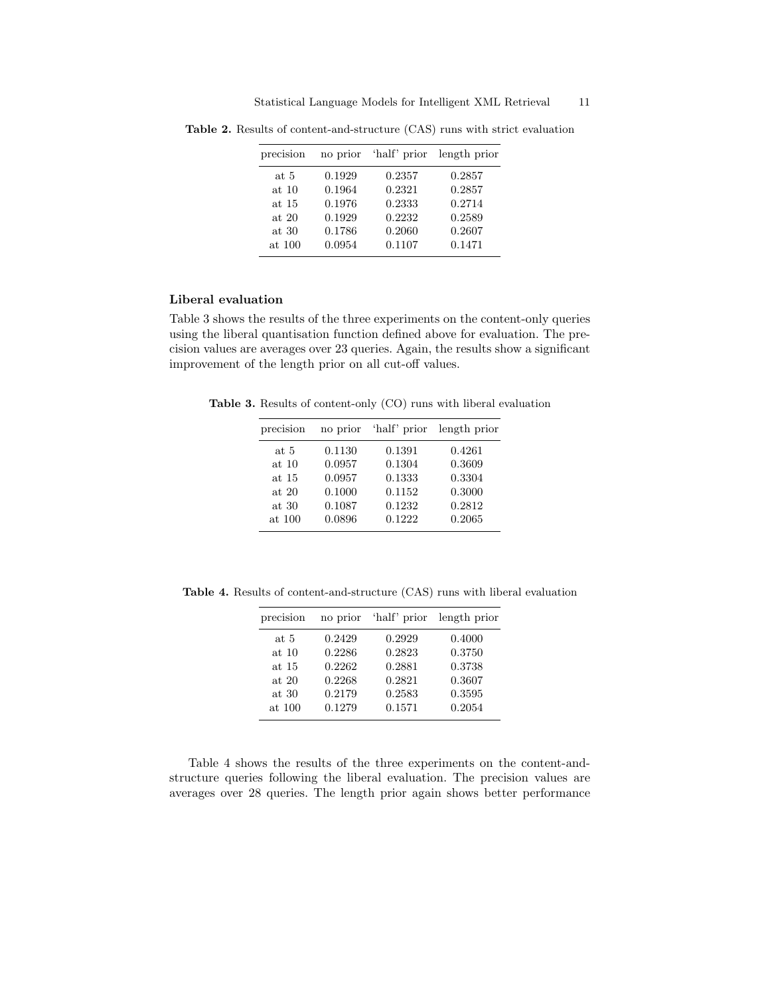| precision | no prior |        | 'half' prior length prior |
|-----------|----------|--------|---------------------------|
| at 5      | 0.1929   | 0.2357 | 0.2857                    |
| at $10$   | 0.1964   | 0.2321 | 0.2857                    |
| at 15     | 0.1976   | 0.2333 | 0.2714                    |
| at $20$   | 0.1929   | 0.2232 | 0.2589                    |
| at $30$   | 0.1786   | 0.2060 | 0.2607                    |
| at 100    | 0.0954   | 0.1107 | 0.1471                    |
|           |          |        |                           |

Table 2. Results of content-and-structure (CAS) runs with strict evaluation

### Liberal evaluation

Table 3 shows the results of the three experiments on the content-only queries using the liberal quantisation function defined above for evaluation. The precision values are averages over 23 queries. Again, the results show a significant improvement of the length prior on all cut-off values.

Table 3. Results of content-only (CO) runs with liberal evaluation

| precision | no prior | 'half' prior | length prior |
|-----------|----------|--------------|--------------|
| at 5      | 0.1130   | 0.1391       | 0.4261       |
| at 10     | 0.0957   | 0.1304       | 0.3609       |
| at 15     | 0.0957   | 0.1333       | 0.3304       |
| at $20$   | 0.1000   | 0.1152       | 0.3000       |
| at 30     | 0.1087   | 0.1232       | 0.2812       |
| at 100    | 0.0896   | 0.1222       | 0.2065       |

Table 4. Results of content-and-structure (CAS) runs with liberal evaluation

| precision | no prior | 'half' prior | length prior |
|-----------|----------|--------------|--------------|
| at 5      | 0.2429   | 0.2929       | 0.4000       |
| at 10     | 0.2286   | 0.2823       | 0.3750       |
| at 15     | 0.2262   | 0.2881       | 0.3738       |
| at $20$   | 0.2268   | 0.2821       | 0.3607       |
| at $30$   | 0.2179   | 0.2583       | 0.3595       |
| at 100    | 0.1279   | 0.1571       | 0.2054       |

Table 4 shows the results of the three experiments on the content-andstructure queries following the liberal evaluation. The precision values are averages over 28 queries. The length prior again shows better performance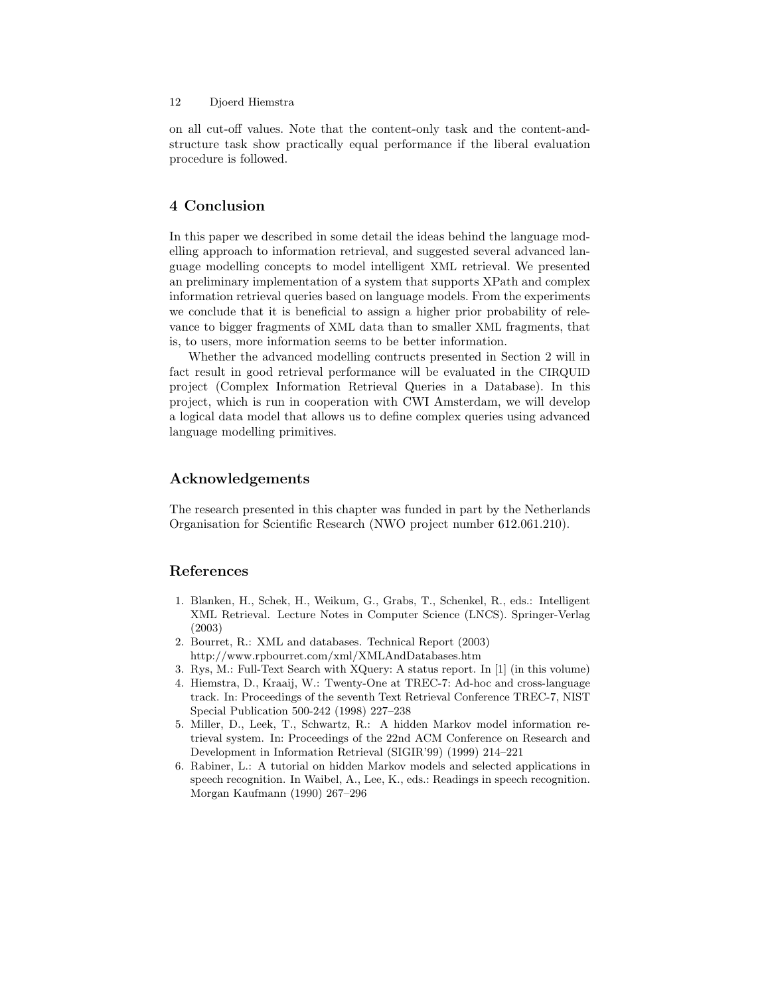on all cut-off values. Note that the content-only task and the content-andstructure task show practically equal performance if the liberal evaluation procedure is followed.

# 4 Conclusion

In this paper we described in some detail the ideas behind the language modelling approach to information retrieval, and suggested several advanced language modelling concepts to model intelligent XML retrieval. We presented an preliminary implementation of a system that supports XPath and complex information retrieval queries based on language models. From the experiments we conclude that it is beneficial to assign a higher prior probability of relevance to bigger fragments of XML data than to smaller XML fragments, that is, to users, more information seems to be better information.

Whether the advanced modelling contructs presented in Section 2 will in fact result in good retrieval performance will be evaluated in the CIRQUID project (Complex Information Retrieval Queries in a Database). In this project, which is run in cooperation with CWI Amsterdam, we will develop a logical data model that allows us to define complex queries using advanced language modelling primitives.

# Acknowledgements

The research presented in this chapter was funded in part by the Netherlands Organisation for Scientific Research (NWO project number 612.061.210).

## References

- 1. Blanken, H., Schek, H., Weikum, G., Grabs, T., Schenkel, R., eds.: Intelligent XML Retrieval. Lecture Notes in Computer Science (LNCS). Springer-Verlag (2003)
- 2. Bourret, R.: XML and databases. Technical Report (2003) http://www.rpbourret.com/xml/XMLAndDatabases.htm
- 3. Rys, M.: Full-Text Search with XQuery: A status report. In [1] (in this volume)
- 4. Hiemstra, D., Kraaij, W.: Twenty-One at TREC-7: Ad-hoc and cross-language track. In: Proceedings of the seventh Text Retrieval Conference TREC-7, NIST Special Publication 500-242 (1998) 227–238
- 5. Miller, D., Leek, T., Schwartz, R.: A hidden Markov model information retrieval system. In: Proceedings of the 22nd ACM Conference on Research and Development in Information Retrieval (SIGIR'99) (1999) 214–221
- 6. Rabiner, L.: A tutorial on hidden Markov models and selected applications in speech recognition. In Waibel, A., Lee, K., eds.: Readings in speech recognition. Morgan Kaufmann (1990) 267–296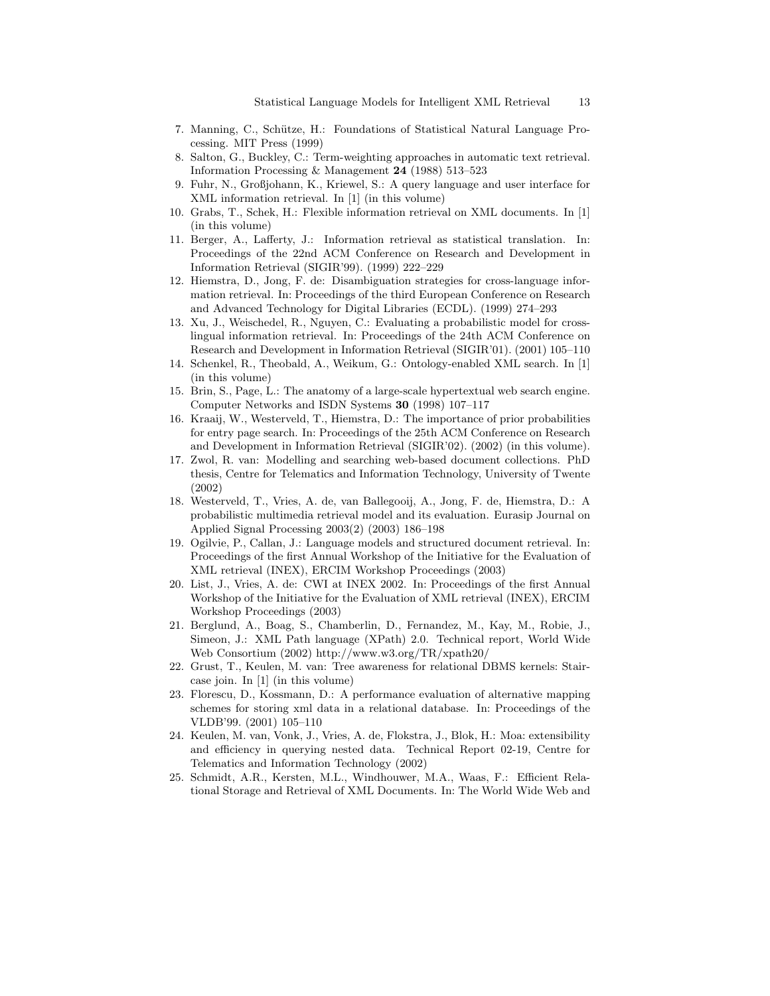- 7. Manning, C., Schütze, H.: Foundations of Statistical Natural Language Processing. MIT Press (1999)
- 8. Salton, G., Buckley, C.: Term-weighting approaches in automatic text retrieval. Information Processing & Management 24 (1988) 513–523
- 9. Fuhr, N., Großjohann, K., Kriewel, S.: A query language and user interface for XML information retrieval. In [1] (in this volume)
- 10. Grabs, T., Schek, H.: Flexible information retrieval on XML documents. In [1] (in this volume)
- 11. Berger, A., Lafferty, J.: Information retrieval as statistical translation. In: Proceedings of the 22nd ACM Conference on Research and Development in Information Retrieval (SIGIR'99). (1999) 222–229
- 12. Hiemstra, D., Jong, F. de: Disambiguation strategies for cross-language information retrieval. In: Proceedings of the third European Conference on Research and Advanced Technology for Digital Libraries (ECDL). (1999) 274–293
- 13. Xu, J., Weischedel, R., Nguyen, C.: Evaluating a probabilistic model for crosslingual information retrieval. In: Proceedings of the 24th ACM Conference on Research and Development in Information Retrieval (SIGIR'01). (2001) 105–110
- 14. Schenkel, R., Theobald, A., Weikum, G.: Ontology-enabled XML search. In [1] (in this volume)
- 15. Brin, S., Page, L.: The anatomy of a large-scale hypertextual web search engine. Computer Networks and ISDN Systems 30 (1998) 107–117
- 16. Kraaij, W., Westerveld, T., Hiemstra, D.: The importance of prior probabilities for entry page search. In: Proceedings of the 25th ACM Conference on Research and Development in Information Retrieval (SIGIR'02). (2002) (in this volume).
- 17. Zwol, R. van: Modelling and searching web-based document collections. PhD thesis, Centre for Telematics and Information Technology, University of Twente (2002)
- 18. Westerveld, T., Vries, A. de, van Ballegooij, A., Jong, F. de, Hiemstra, D.: A probabilistic multimedia retrieval model and its evaluation. Eurasip Journal on Applied Signal Processing 2003(2) (2003) 186–198
- 19. Ogilvie, P., Callan, J.: Language models and structured document retrieval. In: Proceedings of the first Annual Workshop of the Initiative for the Evaluation of XML retrieval (INEX), ERCIM Workshop Proceedings (2003)
- 20. List, J., Vries, A. de: CWI at INEX 2002. In: Proceedings of the first Annual Workshop of the Initiative for the Evaluation of XML retrieval (INEX), ERCIM Workshop Proceedings (2003)
- 21. Berglund, A., Boag, S., Chamberlin, D., Fernandez, M., Kay, M., Robie, J., Simeon, J.: XML Path language (XPath) 2.0. Technical report, World Wide Web Consortium (2002) http://www.w3.org/TR/xpath20/
- 22. Grust, T., Keulen, M. van: Tree awareness for relational DBMS kernels: Staircase join. In [1] (in this volume)
- 23. Florescu, D., Kossmann, D.: A performance evaluation of alternative mapping schemes for storing xml data in a relational database. In: Proceedings of the VLDB'99. (2001) 105–110
- 24. Keulen, M. van, Vonk, J., Vries, A. de, Flokstra, J., Blok, H.: Moa: extensibility and efficiency in querying nested data. Technical Report 02-19, Centre for Telematics and Information Technology (2002)
- 25. Schmidt, A.R., Kersten, M.L., Windhouwer, M.A., Waas, F.: Efficient Relational Storage and Retrieval of XML Documents. In: The World Wide Web and